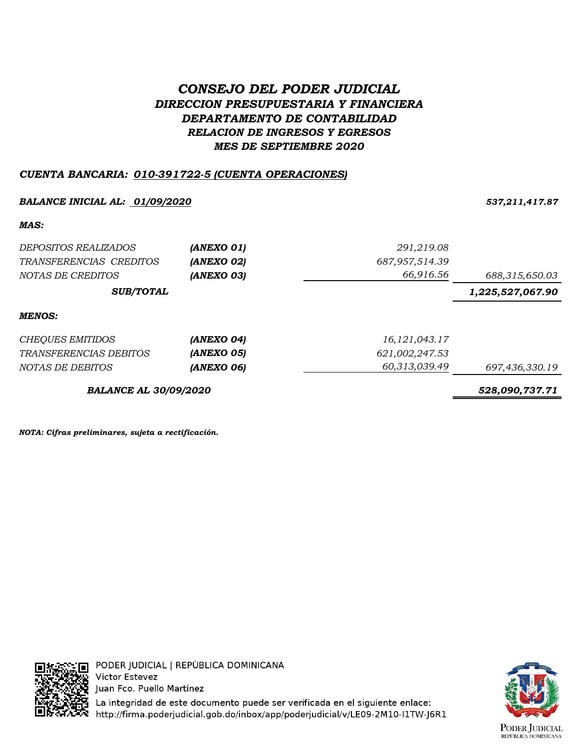# *CONSEJO DEL PODER JUDICIAL DIRECCION PRESUPUESTARIA Y FINANCIERA DEPARTAMENTO DE CONTABILIDAD RELACION DE INGRESOS Y EGRESOS MES DE SEPTIEMBRE 2020*

## *CUENTA BANCARIA: 010-391722-5 (CUENTA OPERACIONES)*

### *BALANCE INICIAL AL: 01/09/2020 537,211,417.87*

*MAS:*

| DEPOSITOS REALIZADOS          | (ANEXO 01) | 291,219.08       |                  |
|-------------------------------|------------|------------------|------------------|
| TRANSFERENCIAS CREDITOS       | (ANEXO 02) | 687, 957, 514.39 |                  |
| NOTAS DE CREDITOS             | (ANEXO 03) | 66,916.56        | 688,315,650.03   |
| <b>SUB/TOTAL</b>              |            |                  | 1,225,527,067.90 |
| <b>MENOS:</b>                 |            |                  |                  |
| CHEQUES EMITIDOS              | (ANEXO 04) | 16, 121, 043. 17 |                  |
| <i>TRANSFERENCIAS DEBITOS</i> | (ANEXO 05) | 621,002,247.53   |                  |
| NOTAS DE DEBITOS              | (ANEXO 06) | 60,313,039.49    | 697,436,330.19   |
| <b>BALANCE AL 30/09/2020</b>  |            |                  | 528.090.737.71   |

*NOTA: Cifras preliminares, sujeta a rectificación.*



La integridad de este documento puede ser verificada en el siguiente enlace: http://firma.poderjudicial.gob.do/inbox/app/poderjudicial/v/LE09-2M10-I1TW-J6R1

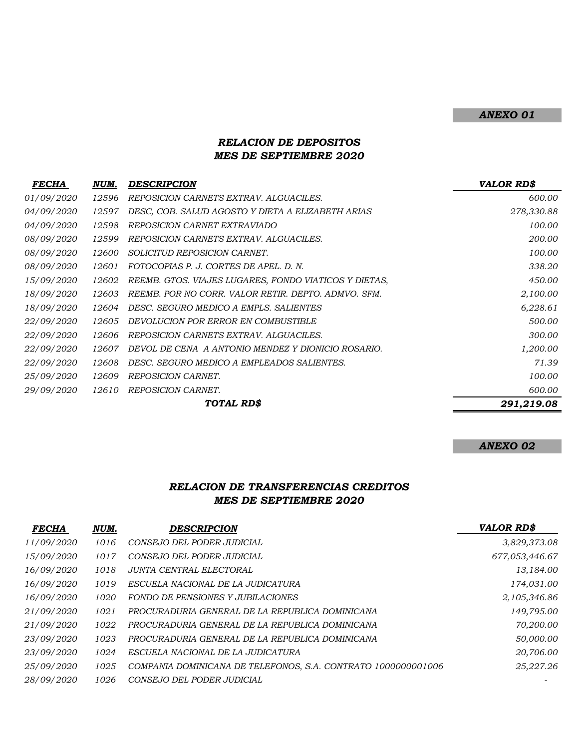### *ANEXO 01*

### *RELACION DE DEPOSITOS MES DE SEPTIEMBRE 2020*

| <i>FECHA</i>      | NUM.  | DESCRIPCION                                           | <b>VALOR RDS</b> |
|-------------------|-------|-------------------------------------------------------|------------------|
| 01/09/2020        | 12596 | REPOSICION CARNETS EXTRAV. ALGUACILES.                | 600.00           |
| <i>04/09/2020</i> | 12597 | DESC, COB. SALUD AGOSTO Y DIETA A ELIZABETH ARIAS     | 278,330.88       |
| 04/09/2020        | 12598 | REPOSICION CARNET EXTRAVIADO                          | 100.00           |
| 08/09/2020        | 12599 | REPOSICION CARNETS EXTRAV. ALGUACILES.                | 200.00           |
| <i>08/09/2020</i> | 12600 | SOLICITUD REPOSICION CARNET.                          | 100.00           |
| 08/09/2020        | 12601 | FOTOCOPIAS P. J. CORTES DE APEL. D. N.                | 338.20           |
| 15/09/2020        | 12602 | REEMB. GTOS. VIAJES LUGARES, FONDO VIATICOS Y DIETAS, | 450.00           |
| <i>18/09/2020</i> | 12603 | REEMB. POR NO CORR. VALOR RETIR. DEPTO. ADMVO. SFM.   | 2,100.00         |
| <i>18/09/2020</i> | 12604 | DESC. SEGURO MEDICO A EMPLS. SALIENTES                | 6,228.61         |
| <i>22/09/2020</i> | 12605 | DEVOLUCION POR ERROR EN COMBUSTIBLE                   | 500.00           |
| <i>22/09/2020</i> | 12606 | REPOSICION CARNETS EXTRAV. ALGUACILES.                | 300.00           |
| <i>22/09/2020</i> | 12607 | DEVOL DE CENA A ANTONIO MENDEZ Y DIONICIO ROSARIO.    | 1,200.00         |
| <i>22/09/2020</i> | 12608 | DESC. SEGURO MEDICO A EMPLEADOS SALIENTES.            | 71.39            |
| <i>25/09/2020</i> | 12609 | REPOSICION CARNET.                                    | 100.00           |
| 29/09/2020        | 12610 | REPOSICION CARNET.                                    | 600.00           |
|                   |       | <b>TOTAL RDS</b>                                      | 291,219.08       |

#### *ANEXO 02*

#### *RELACION DE TRANSFERENCIAS CREDITOS MES DE SEPTIEMBRE 2020*

| <b>FECHA</b>      | NUM. | DESCRIPCION                                                   | <b>VALOR RD\$</b> |
|-------------------|------|---------------------------------------------------------------|-------------------|
| 11/09/2020        | 1016 | CONSEJO DEL PODER JUDICIAL                                    | 3,829,373.08      |
| 15/09/2020        | 1017 | CONSEJO DEL PODER JUDICIAL                                    | 677,053,446.67    |
| 16/09/2020        | 1018 | JUNTA CENTRAL ELECTORAL                                       | 13,184.00         |
| 16/09/2020        | 1019 | ESCUELA NACIONAL DE LA JUDICATURA                             | 174,031.00        |
| 16/09/2020        | 1020 | FONDO DE PENSIONES Y JUBILACIONES                             | 2,105,346.86      |
| 21/09/2020        | 1021 | PROCURADURIA GENERAL DE LA REPUBLICA DOMINICANA               | 149,795.00        |
| 21/09/2020        | 1022 | PROCURADURIA GENERAL DE LA REPUBLICA DOMINICANA               | 70,200.00         |
| 23/09/2020        | 1023 | PROCURADURIA GENERAL DE LA REPUBLICA DOMINICANA               | 50,000.00         |
| 23/09/2020        | 1024 | ESCUELA NACIONAL DE LA JUDICATURA                             | 20,706.00         |
| <i>25/09/2020</i> | 1025 | COMPANIA DOMINICANA DE TELEFONOS, S.A. CONTRATO 1000000001006 | 25,227.26         |
| 28/09/2020        | 1026 | CONSEJO DEL PODER JUDICIAL                                    |                   |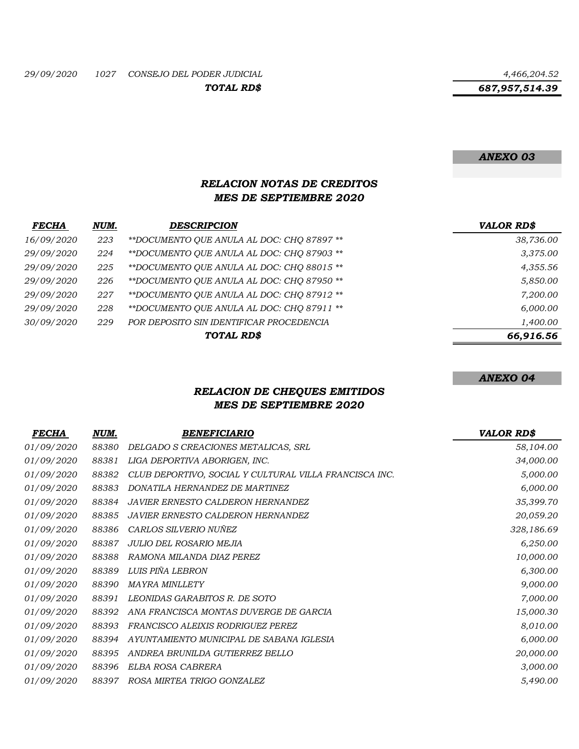*687,957,514.39*

#### *ANEXO 03*

### *RELACION NOTAS DE CREDITOS MES DE SEPTIEMBRE 2020*

| <b>FECHA</b> | NUM. | <b>DESCRIPCION</b>                         | <b>VALOR RD\$</b> |
|--------------|------|--------------------------------------------|-------------------|
| 16/09/2020   | 223  | **DOCUMENTO OUE ANULA AL DOC: CHO 87897 ** | 38,736.00         |
| 29/09/2020   | 224  | **DOCUMENTO QUE ANULA AL DOC: CHQ 87903 ** | 3,375.00          |
| 29/09/2020   | 225  | **DOCUMENTO QUE ANULA AL DOC: CHQ 88015 ** | 4,355.56          |
| 29/09/2020   | 226  | **DOCUMENTO OUE ANULA AL DOC: CHO 87950 ** | 5,850.00          |
| 29/09/2020   | 227  | **DOCUMENTO OUE ANULA AL DOC: CHO 87912 ** | 7,200.00          |
| 29/09/2020   | 228  | **DOCUMENTO QUE ANULA AL DOC: CHQ 87911 ** | 6,000.00          |
| 30/09/2020   | 229  | POR DEPOSITO SIN IDENTIFICAR PROCEDENCIA   | 1,400.00          |
|              |      | TOTAL RD\$                                 | 66,916.56         |

*ANEXO 04*

## *RELACION DE CHEQUES EMITIDOS MES DE SEPTIEMBRE 2020*

| <b>FECHA</b>      | NUM.  | <b>BENEFICIARIO</b>                                    | <b>VALOR RD\$</b> |
|-------------------|-------|--------------------------------------------------------|-------------------|
| <i>01/09/2020</i> | 88380 | DELGADO S CREACIONES METALICAS, SRL                    | 58,104.00         |
| <i>01/09/2020</i> | 88381 | LIGA DEPORTIVA ABORIGEN, INC.                          | 34,000.00         |
| 01/09/2020        | 88382 | CLUB DEPORTIVO, SOCIAL Y CULTURAL VILLA FRANCISCA INC. | 5,000.00          |
| 01/09/2020        | 88383 | DONATILA HERNANDEZ DE MARTINEZ                         | 6,000.00          |
| 01/09/2020        | 88384 | <b>JAVIER ERNESTO CALDERON HERNANDEZ</b>               | 35,399.70         |
| 01/09/2020        | 88385 | <b>JAVIER ERNESTO CALDERON HERNANDEZ</b>               | 20,059.20         |
| 01/09/2020        | 88386 | CARLOS SILVERIO NUÑEZ                                  | 328,186.69        |
| 01/09/2020        | 88387 | JULIO DEL ROSARIO MEJIA                                | 6,250.00          |
| 01/09/2020        | 88388 | RAMONA MILANDA DIAZ PEREZ                              | 10,000.00         |
| 01/09/2020        | 88389 | LUIS PIÑA LEBRON                                       | 6,300.00          |
| 01/09/2020        | 88390 | <b>MAYRA MINLLETY</b>                                  | 9,000.00          |
| 01/09/2020        | 88391 | LEONIDAS GARABITOS R. DE SOTO                          | 7,000.00          |
| 01/09/2020        | 88392 | ANA FRANCISCA MONTAS DUVERGE DE GARCIA                 | 15,000.30         |
| 01/09/2020        | 88393 | FRANCISCO ALEIXIS RODRIGUEZ PEREZ                      | 8,010.00          |
| 01/09/2020        | 88394 | AYUNTAMIENTO MUNICIPAL DE SABANA IGLESIA               | 6,000.00          |
| 01/09/2020        | 88395 | ANDREA BRUNILDA GUTIERREZ BELLO                        | 20,000.00         |
| 01/09/2020        | 88396 | ELBA ROSA CABRERA                                      | 3,000.00          |
| 01/09/2020        | 88397 | ROSA MIRTEA TRIGO GONZALEZ                             | 5,490.00          |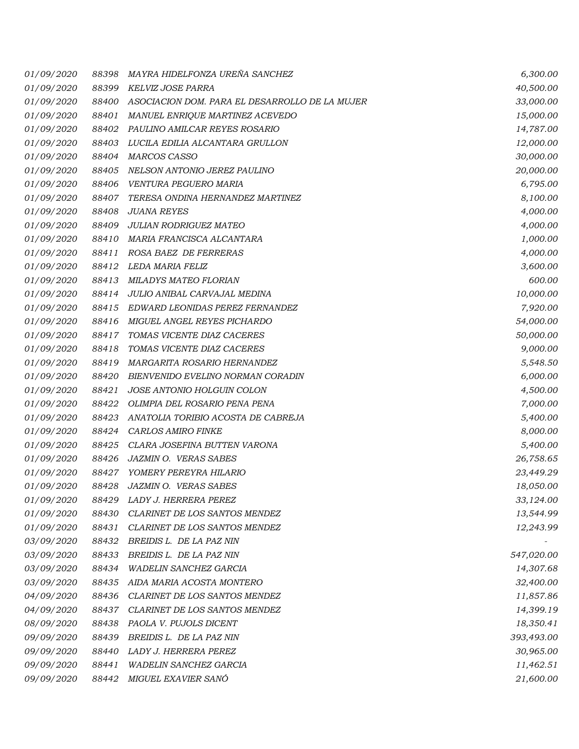| <i>01/09/2020</i> | 88398 | MAYRA HIDELFONZA UREÑA SANCHEZ                 | 6,300.00   |
|-------------------|-------|------------------------------------------------|------------|
| 01/09/2020        | 88399 | KELVIZ JOSE PARRA                              | 40,500.00  |
| <i>01/09/2020</i> | 88400 | ASOCIACION DOM. PARA EL DESARROLLO DE LA MUJER | 33,000.00  |
| 01/09/2020        | 88401 | MANUEL ENRIQUE MARTINEZ ACEVEDO                | 15,000.00  |
| 01/09/2020        | 88402 | PAULINO AMILCAR REYES ROSARIO                  | 14,787.00  |
| 01/09/2020        | 88403 | LUCILA EDILIA ALCANTARA GRULLON                | 12,000.00  |
| 01/09/2020        | 88404 | MARCOS CASSO                                   | 30,000.00  |
| 01/09/2020        | 88405 | NELSON ANTONIO JEREZ PAULINO                   | 20,000.00  |
| 01/09/2020        | 88406 | VENTURA PEGUERO MARIA                          | 6,795.00   |
| 01/09/2020        | 88407 | TERESA ONDINA HERNANDEZ MARTINEZ               | 8,100.00   |
| 01/09/2020        | 88408 | <b>JUANA REYES</b>                             | 4,000.00   |
| 01/09/2020        | 88409 | JULIAN RODRIGUEZ MATEO                         | 4,000.00   |
| 01/09/2020        | 88410 | MARIA FRANCISCA ALCANTARA                      | 1,000.00   |
| 01/09/2020        | 88411 | ROSA BAEZ DE FERRERAS                          | 4,000.00   |
| 01/09/2020        | 88412 | LEDA MARIA FELIZ                               | 3,600.00   |
| 01/09/2020        | 88413 | MILADYS MATEO FLORIAN                          | 600.00     |
| <i>01/09/2020</i> | 88414 | JULIO ANIBAL CARVAJAL MEDINA                   | 10,000.00  |
| 01/09/2020        | 88415 | EDWARD LEONIDAS PEREZ FERNANDEZ                | 7,920.00   |
| <i>01/09/2020</i> | 88416 | MIGUEL ANGEL REYES PICHARDO                    | 54,000.00  |
| 01/09/2020        | 88417 | TOMAS VICENTE DIAZ CACERES                     | 50,000.00  |
| <i>01/09/2020</i> | 88418 | TOMAS VICENTE DIAZ CACERES                     | 9,000.00   |
| <i>01/09/2020</i> | 88419 | <i>MARGARITA ROSARIO HERNANDEZ</i>             | 5,548.50   |
| 01/09/2020        | 88420 | BIENVENIDO EVELINO NORMAN CORADIN              | 6,000.00   |
| 01/09/2020        | 88421 | JOSE ANTONIO HOLGUIN COLON                     | 4,500.00   |
| 01/09/2020        | 88422 | OLIMPIA DEL ROSARIO PENA PENA                  | 7,000.00   |
| 01/09/2020        | 88423 | ANATOLIA TORIBIO ACOSTA DE CABREJA             | 5,400.00   |
| 01/09/2020        | 88424 | CARLOS AMIRO FINKE                             | 8,000.00   |
| 01/09/2020        | 88425 | CLARA JOSEFINA BUTTEN VARONA                   | 5,400.00   |
| <i>01/09/2020</i> | 88426 | <b>JAZMIN O. VERAS SABES</b>                   | 26,758.65  |
| 01/09/2020        | 88427 | YOMERY PEREYRA HILARIO                         | 23,449.29  |
| 01/09/2020        | 88428 | <b>JAZMIN O. VERAS SABES</b>                   | 18,050.00  |
| 01/09/2020        | 88429 | LADY J. HERRERA PEREZ                          | 33,124.00  |
| 01/09/2020        | 88430 | CLARINET DE LOS SANTOS MENDEZ                  | 13,544.99  |
| 01/09/2020        | 88431 | CLARINET DE LOS SANTOS MENDEZ                  | 12,243.99  |
| 03/09/2020        | 88432 | BREIDIS L. DE LA PAZ NIN                       |            |
| 03/09/2020        | 88433 | BREIDIS L. DE LA PAZ NIN                       | 547,020.00 |
| 03/09/2020        | 88434 | <b>WADELIN SANCHEZ GARCIA</b>                  | 14,307.68  |
| 03/09/2020        | 88435 | AIDA MARIA ACOSTA MONTERO                      | 32,400.00  |
| 04/09/2020        | 88436 | CLARINET DE LOS SANTOS MENDEZ                  | 11,857.86  |
| 04/09/2020        | 88437 | CLARINET DE LOS SANTOS MENDEZ                  | 14,399.19  |
| 08/09/2020        | 88438 | PAOLA V. PUJOLS DICENT                         | 18,350.41  |
| 09/09/2020        | 88439 | BREIDIS L. DE LA PAZ NIN                       | 393,493.00 |
| 09/09/2020        | 88440 | LADY J. HERRERA PEREZ                          | 30,965.00  |
| 09/09/2020        | 88441 | WADELIN SANCHEZ GARCIA                         | 11,462.51  |
| 09/09/2020        | 88442 | MIGUEL EXAVIER SANÓ                            | 21,600.00  |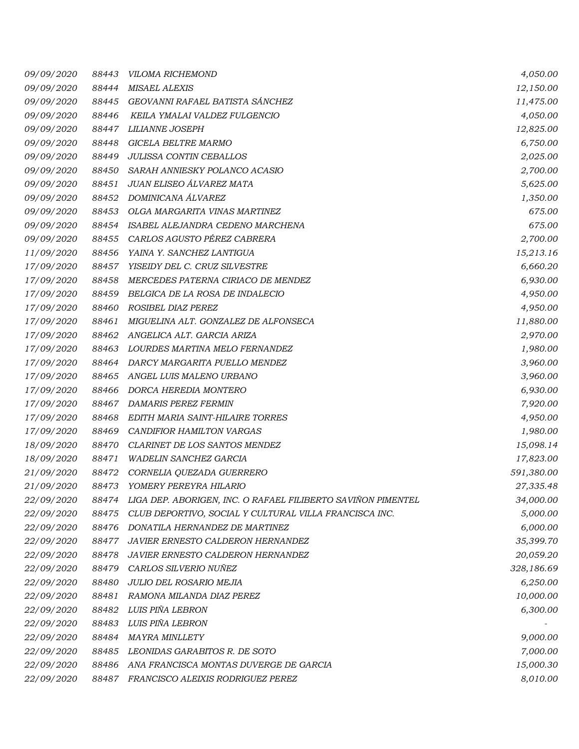| 09/09/2020        | 88443 | <b>VILOMA RICHEMOND</b>                                      | 4,050.00   |
|-------------------|-------|--------------------------------------------------------------|------------|
| 09/09/2020        | 88444 | <b>MISAEL ALEXIS</b>                                         | 12,150.00  |
| 09/09/2020        | 88445 | GEOVANNI RAFAEL BATISTA SÁNCHEZ                              | 11,475.00  |
| 09/09/2020        | 88446 | KEILA YMALAI VALDEZ FULGENCIO                                | 4,050.00   |
| 09/09/2020        | 88447 | <i>LILIANNE JOSEPH</i>                                       | 12,825.00  |
| 09/09/2020        | 88448 | GICELA BELTRE MARMO                                          | 6,750.00   |
| 09/09/2020        | 88449 | JULISSA CONTIN CEBALLOS                                      | 2,025.00   |
| 09/09/2020        | 88450 | SARAH ANNIESKY POLANCO ACASIO                                | 2,700.00   |
| 09/09/2020        | 88451 | JUAN ELISEO ÁLVAREZ MATA                                     | 5,625.00   |
| 09/09/2020        | 88452 | DOMINICANA ÁLVAREZ                                           | 1,350.00   |
| 09/09/2020        | 88453 | OLGA MARGARITA VINAS MARTINEZ                                | 675.00     |
| 09/09/2020        | 88454 | ISABEL ALEJANDRA CEDENO MARCHENA                             | 675.00     |
| 09/09/2020        | 88455 | CARLOS AGUSTO PÉREZ CABRERA                                  | 2,700.00   |
| 11/09/2020        | 88456 | YAINA Y. SANCHEZ LANTIGUA                                    | 15,213.16  |
| 17/09/2020        | 88457 | YISEIDY DEL C. CRUZ SILVESTRE                                | 6,660.20   |
| 17/09/2020        | 88458 | MERCEDES PATERNA CIRIACO DE MENDEZ                           | 6,930.00   |
| 17/09/2020        | 88459 | BELGICA DE LA ROSA DE INDALECIO                              | 4,950.00   |
| 17/09/2020        | 88460 | ROSIBEL DIAZ PEREZ                                           | 4,950.00   |
| 17/09/2020        | 88461 | MIGUELINA ALT. GONZALEZ DE ALFONSECA                         | 11,880.00  |
| 17/09/2020        | 88462 | ANGELICA ALT. GARCIA ARIZA                                   | 2,970.00   |
| 17/09/2020        | 88463 | LOURDES MARTINA MELO FERNANDEZ                               | 1,980.00   |
| 17/09/2020        | 88464 | DARCY MARGARITA PUELLO MENDEZ                                | 3,960.00   |
| 17/09/2020        | 88465 | ANGEL LUIS MALENO URBANO                                     | 3,960.00   |
| 17/09/2020        | 88466 | DORCA HEREDIA MONTERO                                        | 6,930.00   |
| 17/09/2020        | 88467 | DAMARIS PEREZ FERMIN                                         | 7,920.00   |
| 17/09/2020        | 88468 | EDITH MARIA SAINT-HILAIRE TORRES                             | 4,950.00   |
| 17/09/2020        | 88469 | CANDIFIOR HAMILTON VARGAS                                    | 1,980.00   |
| 18/09/2020        | 88470 | CLARINET DE LOS SANTOS MENDEZ                                | 15,098.14  |
| 18/09/2020        | 88471 | <b>WADELIN SANCHEZ GARCIA</b>                                | 17,823.00  |
| 21/09/2020        | 88472 | CORNELIA QUEZADA GUERRERO                                    | 591,380.00 |
| 21/09/2020        | 88473 | YOMERY PEREYRA HILARIO                                       | 27,335.48  |
| <i>22/09/2020</i> | 88474 | LIGA DEP. ABORIGEN, INC. O RAFAEL FILIBERTO SAVIÑON PIMENTEL | 34,000.00  |
| 22/09/2020        | 88475 | CLUB DEPORTIVO, SOCIAL Y CULTURAL VILLA FRANCISCA INC.       | 5,000.00   |
| 22/09/2020        | 88476 | DONATILA HERNANDEZ DE MARTINEZ                               | 6,000.00   |
| 22/09/2020        | 88477 | JAVIER ERNESTO CALDERON HERNANDEZ                            | 35,399.70  |
| 22/09/2020        | 88478 | <b>JAVIER ERNESTO CALDERON HERNANDEZ</b>                     | 20,059.20  |
| 22/09/2020        | 88479 | CARLOS SILVERIO NUÑEZ                                        | 328,186.69 |
| 22/09/2020        | 88480 | JULIO DEL ROSARIO MEJIA                                      | 6,250.00   |
| 22/09/2020        | 88481 | RAMONA MILANDA DIAZ PEREZ                                    | 10,000.00  |
| 22/09/2020        | 88482 | LUIS PIÑA LEBRON                                             | 6,300.00   |
| 22/09/2020        | 88483 | LUIS PIÑA LEBRON                                             |            |
| 22/09/2020        | 88484 | <b>MAYRA MINLLETY</b>                                        | 9,000.00   |
| 22/09/2020        | 88485 | LEONIDAS GARABITOS R. DE SOTO                                | 7,000.00   |
| 22/09/2020        | 88486 | ANA FRANCISCA MONTAS DUVERGE DE GARCIA                       | 15,000.30  |
| 22/09/2020        | 88487 | FRANCISCO ALEIXIS RODRIGUEZ PEREZ                            | 8,010.00   |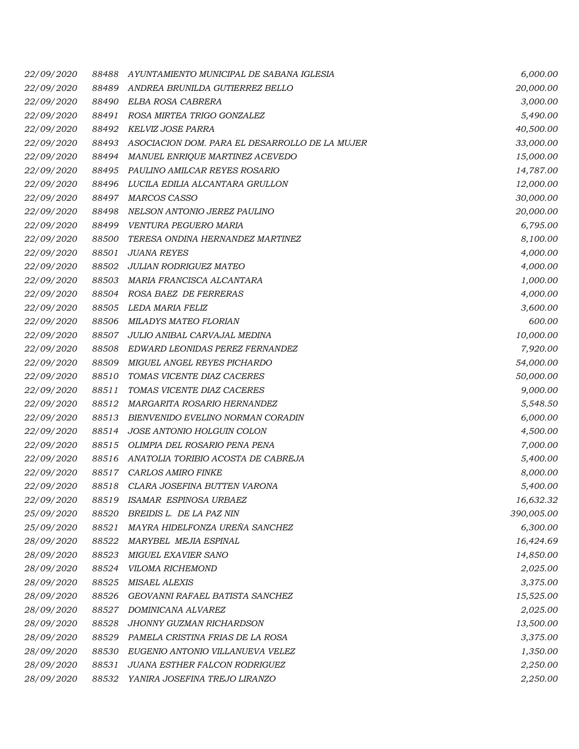| <i>22/09/2020</i> | 88488 | AYUNTAMIENTO MUNICIPAL DE SABANA IGLESIA       | 6,000.00   |
|-------------------|-------|------------------------------------------------|------------|
| 22/09/2020        | 88489 | ANDREA BRUNILDA GUTIERREZ BELLO                | 20,000.00  |
| <i>22/09/2020</i> | 88490 | ELBA ROSA CABRERA                              | 3,000.00   |
| 22/09/2020        | 88491 | ROSA MIRTEA TRIGO GONZALEZ                     | 5,490.00   |
| 22/09/2020        | 88492 | KELVIZ JOSE PARRA                              | 40,500.00  |
| 22/09/2020        | 88493 | ASOCIACION DOM. PARA EL DESARROLLO DE LA MUJER | 33,000.00  |
| <i>22/09/2020</i> | 88494 | MANUEL ENRIQUE MARTINEZ ACEVEDO                | 15,000.00  |
| <i>22/09/2020</i> | 88495 | PAULINO AMILCAR REYES ROSARIO                  | 14,787.00  |
| 22/09/2020        | 88496 | LUCILA EDILIA ALCANTARA GRULLON                | 12,000.00  |
| 22/09/2020        | 88497 | MARCOS CASSO                                   | 30,000.00  |
| 22/09/2020        | 88498 | NELSON ANTONIO JEREZ PAULINO                   | 20,000.00  |
| 22/09/2020        | 88499 | VENTURA PEGUERO MARIA                          | 6,795.00   |
| 22/09/2020        | 88500 | TERESA ONDINA HERNANDEZ MARTINEZ               | 8,100.00   |
| 22/09/2020        | 88501 | <b>JUANA REYES</b>                             | 4,000.00   |
| <i>22/09/2020</i> | 88502 | JULIAN RODRIGUEZ MATEO                         | 4,000.00   |
| 22/09/2020        | 88503 | MARIA FRANCISCA ALCANTARA                      | 1,000.00   |
| <i>22/09/2020</i> | 88504 | ROSA BAEZ DE FERRERAS                          | 4,000.00   |
| <i>22/09/2020</i> | 88505 | LEDA MARIA FELIZ                               | 3,600.00   |
| <i>22/09/2020</i> | 88506 | MILADYS MATEO FLORIAN                          | 600.00     |
| 22/09/2020        | 88507 | JULIO ANIBAL CARVAJAL MEDINA                   | 10,000.00  |
| 22/09/2020        | 88508 | EDWARD LEONIDAS PEREZ FERNANDEZ                | 7,920.00   |
| <i>22/09/2020</i> | 88509 | MIGUEL ANGEL REYES PICHARDO                    | 54,000.00  |
| 22/09/2020        | 88510 | TOMAS VICENTE DIAZ CACERES                     | 50,000.00  |
| 22/09/2020        | 88511 | TOMAS VICENTE DIAZ CACERES                     | 9,000.00   |
| <i>22/09/2020</i> | 88512 | MARGARITA ROSARIO HERNANDEZ                    | 5,548.50   |
| <i>22/09/2020</i> | 88513 | BIENVENIDO EVELINO NORMAN CORADIN              | 6,000.00   |
| <i>22/09/2020</i> | 88514 | JOSE ANTONIO HOLGUIN COLON                     | 4,500.00   |
| 22/09/2020        | 88515 | OLIMPIA DEL ROSARIO PENA PENA                  | 7,000.00   |
| 22/09/2020        | 88516 | ANATOLIA TORIBIO ACOSTA DE CABREJA             | 5,400.00   |
| 22/09/2020        | 88517 | CARLOS AMIRO FINKE                             | 8,000.00   |
| 22/09/2020        | 88518 | CLARA JOSEFINA BUTTEN VARONA                   | 5,400.00   |
| <i>22/09/2020</i> | 88519 | ISAMAR ESPINOSA URBAEZ                         | 16,632.32  |
| 25/09/2020        | 88520 | BREIDIS L. DE LA PAZ NIN                       | 390,005.00 |
| 25/09/2020        | 88521 | MAYRA HIDELFONZA UREÑA SANCHEZ                 | 6,300.00   |
| 28/09/2020        | 88522 | MARYBEL MEJIA ESPINAL                          | 16,424.69  |
| <i>28/09/2020</i> | 88523 | MIGUEL EXAVIER SANO                            | 14,850.00  |
| 28/09/2020        | 88524 | VILOMA RICHEMOND                               | 2,025.00   |
| 28/09/2020        | 88525 | <b>MISAEL ALEXIS</b>                           | 3,375.00   |
| 28/09/2020        | 88526 | GEOVANNI RAFAEL BATISTA SANCHEZ                | 15,525.00  |
| 28/09/2020        | 88527 | <i>DOMINICANA ALVAREZ</i>                      | 2,025.00   |
| 28/09/2020        | 88528 | <b>JHONNY GUZMAN RICHARDSON</b>                | 13,500.00  |
| 28/09/2020        | 88529 | PAMELA CRISTINA FRIAS DE LA ROSA               | 3,375.00   |
| 28/09/2020        | 88530 | EUGENIO ANTONIO VILLANUEVA VELEZ               | 1,350.00   |
| 28/09/2020        | 88531 | JUANA ESTHER FALCON RODRIGUEZ                  | 2,250.00   |
| 28/09/2020        | 88532 | YANIRA JOSEFINA TREJO LIRANZO                  | 2,250.00   |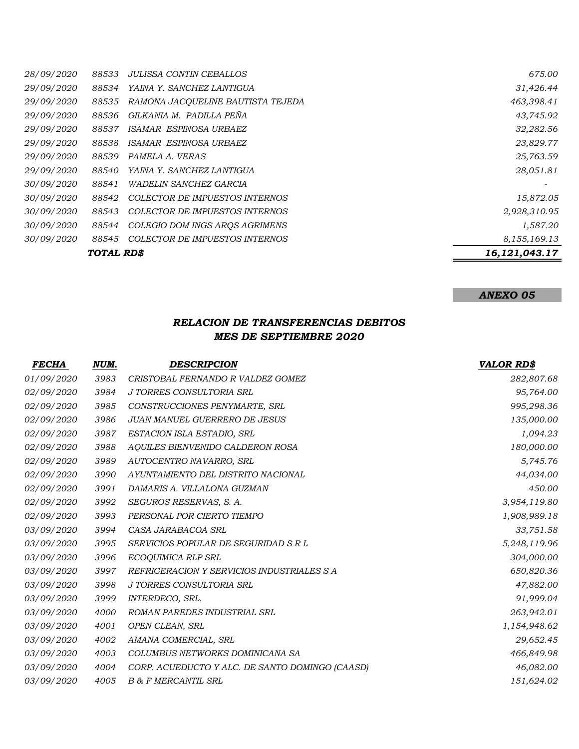|                   | TOTAL RD\$ |                                       | 16, 121, 043. 17 |
|-------------------|------------|---------------------------------------|------------------|
|                   |            |                                       |                  |
| <i>30/09/2020</i> | 88545      | <b>COLECTOR DE IMPUESTOS INTERNOS</b> | 8,155,169.13     |
| <i>30/09/2020</i> | 88544      | COLEGIO DOM INGS AROS AGRIMENS        | 1,587.20         |
| <i>30/09/2020</i> | 88543      | COLECTOR DE IMPUESTOS INTERNOS        | 2,928,310.95     |
| <i>30/09/2020</i> | 88542      | COLECTOR DE IMPUESTOS INTERNOS        | 15,872.05        |
| <i>30/09/2020</i> | 88541      | <i>WADELIN SANCHEZ GARCIA</i>         |                  |
| <i>29/09/2020</i> | 88540      | YAINA Y. SANCHEZ LANTIGUA             | 28,051.81        |
| 29/09/2020        | 88539      | PAMELA A. VERAS                       | 25,763.59        |
| 29/09/2020        | 88538      | ISAMAR ESPINOSA URBAEZ                | 23,829.77        |
| 29/09/2020        | 88537      | ISAMAR ESPINOSA URBAEZ                | 32,282.56        |
| <i>29/09/2020</i> | 88536      | GILKANIA M. PADILLA PEÑA              | 43,745.92        |
| 29/09/2020        | 88535      | RAMONA JACQUELINE BAUTISTA TEJEDA     | 463,398.41       |
| <i>29/09/2020</i> | 88534      | YAINA Y. SANCHEZ LANTIGUA             | 31,426.44        |
| <i>28/09/2020</i> | 88533      | <b>JULISSA CONTIN CEBALLOS</b>        | 675.00           |

## *ANEXO 05*

## *RELACION DE TRANSFERENCIAS DEBITOS MES DE SEPTIEMBRE 2020*

| <b>FECHA</b> | NUM. | <b>DESCRIPCION</b>                              | <b>VALOR RD\$</b> |
|--------------|------|-------------------------------------------------|-------------------|
| 01/09/2020   | 3983 | CRISTOBAL FERNANDO R VALDEZ GOMEZ               | 282,807.68        |
| 02/09/2020   | 3984 | J TORRES CONSULTORIA SRL                        | 95,764.00         |
| 02/09/2020   | 3985 | CONSTRUCCIONES PENYMARTE, SRL                   | 995,298.36        |
| 02/09/2020   | 3986 | <b>JUAN MANUEL GUERRERO DE JESUS</b>            | 135,000.00        |
| 02/09/2020   | 3987 | ESTACION ISLA ESTADIO, SRL                      | 1,094.23          |
| 02/09/2020   | 3988 | AQUILES BIENVENIDO CALDERON ROSA                | 180,000.00        |
| 02/09/2020   | 3989 | AUTOCENTRO NAVARRO, SRL                         | 5,745.76          |
| 02/09/2020   | 3990 | AYUNTAMIENTO DEL DISTRITO NACIONAL              | 44,034.00         |
| 02/09/2020   | 3991 | DAMARIS A. VILLALONA GUZMAN                     | 450.00            |
| 02/09/2020   | 3992 | SEGUROS RESERVAS, S. A.                         | 3,954,119.80      |
| 02/09/2020   | 3993 | PERSONAL POR CIERTO TIEMPO                      | 1,908,989.18      |
| 03/09/2020   | 3994 | CASA JARABACOA SRL                              | 33,751.58         |
| 03/09/2020   | 3995 | SERVICIOS POPULAR DE SEGURIDAD S R L            | 5,248,119.96      |
| 03/09/2020   | 3996 | ECOQUIMICA RLP SRL                              | 304,000.00        |
| 03/09/2020   | 3997 | REFRIGERACION Y SERVICIOS INDUSTRIALES S A      | 650,820.36        |
| 03/09/2020   | 3998 | J TORRES CONSULTORIA SRL                        | 47,882.00         |
| 03/09/2020   | 3999 | <b>INTERDECO, SRL.</b>                          | 91,999.04         |
| 03/09/2020   | 4000 | <b>ROMAN PAREDES INDUSTRIAL SRL</b>             | 263,942.01        |
| 03/09/2020   | 4001 | OPEN CLEAN, SRL                                 | 1,154,948.62      |
| 03/09/2020   | 4002 | AMANA COMERCIAL, SRL                            | 29,652.45         |
| 03/09/2020   | 4003 | COLUMBUS NETWORKS DOMINICANA SA                 | 466,849.98        |
| 03/09/2020   | 4004 | CORP. ACUEDUCTO Y ALC. DE SANTO DOMINGO (CAASD) | 46,082.00         |
| 03/09/2020   | 4005 | <b>B &amp; F MERCANTIL SRL</b>                  | 151,624.02        |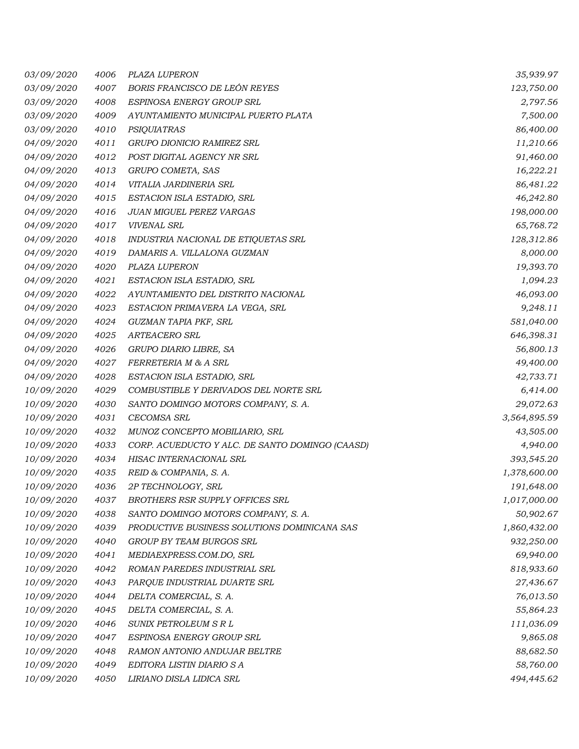| 03/09/2020 | 4006 | PLAZA LUPERON                                   | 35,939.97    |
|------------|------|-------------------------------------------------|--------------|
| 03/09/2020 | 4007 | BORIS FRANCISCO DE LEÓN REYES                   | 123,750.00   |
| 03/09/2020 | 4008 | ESPINOSA ENERGY GROUP SRL                       | 2,797.56     |
| 03/09/2020 | 4009 | AYUNTAMIENTO MUNICIPAL PUERTO PLATA             | 7,500.00     |
| 03/09/2020 | 4010 | PSIQUIATRAS                                     | 86,400.00    |
| 04/09/2020 | 4011 | GRUPO DIONICIO RAMIREZ SRL                      | 11,210.66    |
| 04/09/2020 | 4012 | POST DIGITAL AGENCY NR SRL                      | 91,460.00    |
| 04/09/2020 | 4013 | GRUPO COMETA, SAS                               | 16,222.21    |
| 04/09/2020 | 4014 | VITALIA JARDINERIA SRL                          | 86,481.22    |
| 04/09/2020 | 4015 | ESTACION ISLA ESTADIO, SRL                      | 46,242.80    |
| 04/09/2020 | 4016 | JUAN MIGUEL PEREZ VARGAS                        | 198,000.00   |
| 04/09/2020 | 4017 | <b>VIVENAL SRL</b>                              | 65,768.72    |
| 04/09/2020 | 4018 | INDUSTRIA NACIONAL DE ETIQUETAS SRL             | 128,312.86   |
| 04/09/2020 | 4019 | DAMARIS A. VILLALONA GUZMAN                     | 8,000.00     |
| 04/09/2020 | 4020 | PLAZA LUPERON                                   | 19,393.70    |
| 04/09/2020 | 4021 | ESTACION ISLA ESTADIO, SRL                      | 1,094.23     |
| 04/09/2020 | 4022 | AYUNTAMIENTO DEL DISTRITO NACIONAL              | 46,093.00    |
| 04/09/2020 | 4023 | ESTACION PRIMAVERA LA VEGA, SRL                 | 9,248.11     |
| 04/09/2020 | 4024 | GUZMAN TAPIA PKF, SRL                           | 581,040.00   |
| 04/09/2020 | 4025 | ARTEACERO SRL                                   | 646,398.31   |
| 04/09/2020 | 4026 | GRUPO DIARIO LIBRE, SA                          | 56,800.13    |
| 04/09/2020 | 4027 | FERRETERIA M & A SRL                            | 49,400.00    |
| 04/09/2020 | 4028 | ESTACION ISLA ESTADIO, SRL                      | 42,733.71    |
| 10/09/2020 | 4029 | COMBUSTIBLE Y DERIVADOS DEL NORTE SRL           | 6,414.00     |
| 10/09/2020 | 4030 | SANTO DOMINGO MOTORS COMPANY, S. A.             | 29,072.63    |
| 10/09/2020 | 4031 | CECOMSA SRL                                     | 3,564,895.59 |
| 10/09/2020 | 4032 | MUNOZ CONCEPTO MOBILIARIO, SRL                  | 43,505.00    |
| 10/09/2020 | 4033 | CORP. ACUEDUCTO Y ALC. DE SANTO DOMINGO (CAASD) | 4,940.00     |
| 10/09/2020 | 4034 | HISAC INTERNACIONAL SRL                         | 393,545.20   |
| 10/09/2020 | 4035 | REID & COMPANIA, S. A.                          | 1,378,600.00 |
| 10/09/2020 | 4036 | 2P TECHNOLOGY, SRL                              | 191,648.00   |
| 10/09/2020 | 4037 | BROTHERS RSR SUPPLY OFFICES SRL                 | 1,017,000.00 |
| 10/09/2020 | 4038 | SANTO DOMINGO MOTORS COMPANY, S. A.             | 50,902.67    |
| 10/09/2020 | 4039 | PRODUCTIVE BUSINESS SOLUTIONS DOMINICANA SAS    | 1,860,432.00 |
| 10/09/2020 | 4040 | GROUP BY TEAM BURGOS SRL                        | 932,250.00   |
| 10/09/2020 | 4041 | MEDIAEXPRESS.COM.DO, SRL                        | 69,940.00    |
| 10/09/2020 | 4042 | ROMAN PAREDES INDUSTRIAL SRL                    | 818,933.60   |
| 10/09/2020 | 4043 | PARQUE INDUSTRIAL DUARTE SRL                    | 27,436.67    |
| 10/09/2020 | 4044 | DELTA COMERCIAL, S. A.                          | 76,013.50    |
| 10/09/2020 | 4045 | DELTA COMERCIAL, S. A.                          | 55,864.23    |
| 10/09/2020 | 4046 | SUNIX PETROLEUM S R L                           | 111,036.09   |
| 10/09/2020 | 4047 | ESPINOSA ENERGY GROUP SRL                       | 9,865.08     |
| 10/09/2020 | 4048 | RAMON ANTONIO ANDUJAR BELTRE                    | 88,682.50    |
| 10/09/2020 | 4049 | EDITORA LISTIN DIARIO S A                       | 58,760.00    |
| 10/09/2020 | 4050 | LIRIANO DISLA LIDICA SRL                        | 494,445.62   |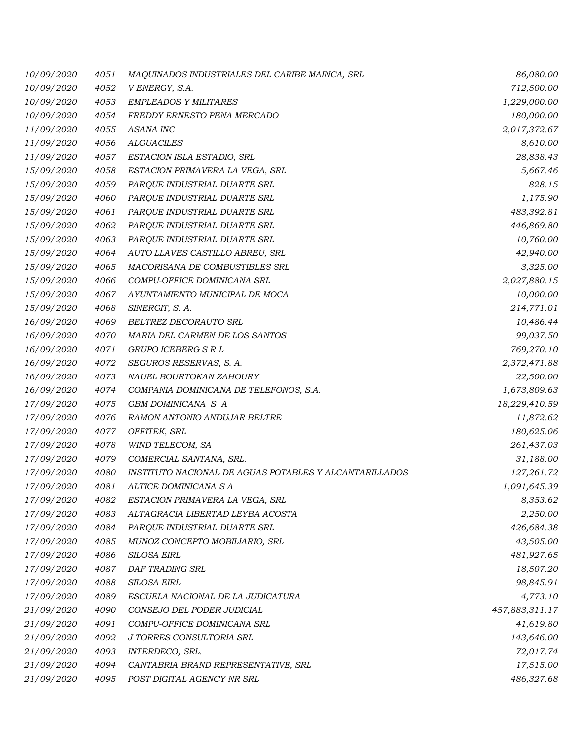| 10/09/2020        | 4051 | MAQUINADOS INDUSTRIALES DEL CARIBE MAINCA, SRL         | 86,080.00      |
|-------------------|------|--------------------------------------------------------|----------------|
| 10/09/2020        | 4052 | V ENERGY, S.A.                                         | 712,500.00     |
| 10/09/2020        | 4053 | <b>EMPLEADOS Y MILITARES</b>                           | 1,229,000.00   |
| 10/09/2020        | 4054 | FREDDY ERNESTO PENA MERCADO                            | 180,000.00     |
| 11/09/2020        | 4055 | <b>ASANA INC</b>                                       | 2,017,372.67   |
| 11/09/2020        | 4056 | <b>ALGUACILES</b>                                      | 8,610.00       |
| 11/09/2020        | 4057 | ESTACION ISLA ESTADIO, SRL                             | 28,838.43      |
| 15/09/2020        | 4058 | ESTACION PRIMAVERA LA VEGA, SRL                        | 5,667.46       |
| 15/09/2020        | 4059 | PARQUE INDUSTRIAL DUARTE SRL                           | 828.15         |
| 15/09/2020        | 4060 | PARQUE INDUSTRIAL DUARTE SRL                           | 1,175.90       |
| 15/09/2020        | 4061 | PARQUE INDUSTRIAL DUARTE SRL                           | 483,392.81     |
| 15/09/2020        | 4062 | PARQUE INDUSTRIAL DUARTE SRL                           | 446,869.80     |
| 15/09/2020        | 4063 | PARQUE INDUSTRIAL DUARTE SRL                           | 10,760.00      |
| 15/09/2020        | 4064 | AUTO LLAVES CASTILLO ABREU, SRL                        | 42,940.00      |
| 15/09/2020        | 4065 | MACORISANA DE COMBUSTIBLES SRL                         | 3,325.00       |
| 15/09/2020        | 4066 | COMPU-OFFICE DOMINICANA SRL                            | 2,027,880.15   |
| 15/09/2020        | 4067 | AYUNTAMIENTO MUNICIPAL DE MOCA                         | 10,000.00      |
| 15/09/2020        | 4068 | SINERGIT, S. A.                                        | 214,771.01     |
| 16/09/2020        | 4069 | BELTREZ DECORAUTO SRL                                  | 10,486.44      |
| 16/09/2020        | 4070 | MARIA DEL CARMEN DE LOS SANTOS                         | 99,037.50      |
| 16/09/2020        | 4071 | GRUPO ICEBERG S R L                                    | 769,270.10     |
| 16/09/2020        | 4072 | SEGUROS RESERVAS, S. A.                                | 2,372,471.88   |
| 16/09/2020        | 4073 | NAUEL BOURTOKAN ZAHOURY                                | 22,500.00      |
| 16/09/2020        | 4074 | COMPANIA DOMINICANA DE TELEFONOS, S.A.                 | 1,673,809.63   |
| 17/09/2020        | 4075 | GBM DOMINICANA S A                                     | 18,229,410.59  |
| 17/09/2020        | 4076 | RAMON ANTONIO ANDUJAR BELTRE                           | 11,872.62      |
| <i>17/09/2020</i> | 4077 | OFFITEK, SRL                                           | 180,625.06     |
| 17/09/2020        | 4078 | WIND TELECOM, SA                                       | 261,437.03     |
| 17/09/2020        | 4079 | COMERCIAL SANTANA, SRL.                                | 31,188.00      |
| 17/09/2020        | 4080 | INSTITUTO NACIONAL DE AGUAS POTABLES Y ALCANTARILLADOS | 127,261.72     |
| 17/09/2020        | 4081 | ALTICE DOMINICANA S A                                  | 1,091,645.39   |
| <i>17/09/2020</i> | 4082 | ESTACION PRIMAVERA LA VEGA, SRL                        | 8,353.62       |
| 17/09/2020        | 4083 | ALTAGRACIA LIBERTAD LEYBA ACOSTA                       | 2,250.00       |
| 17/09/2020        | 4084 | PARQUE INDUSTRIAL DUARTE SRL                           | 426,684.38     |
| 17/09/2020        | 4085 | MUNOZ CONCEPTO MOBILIARIO, SRL                         | 43,505.00      |
| 17/09/2020        | 4086 | <b>SILOSA EIRL</b>                                     | 481,927.65     |
| 17/09/2020        | 4087 | <b>DAF TRADING SRL</b>                                 | 18,507.20      |
| 17/09/2020        | 4088 | SILOSA EIRL                                            | 98,845.91      |
| 17/09/2020        | 4089 | ESCUELA NACIONAL DE LA JUDICATURA                      | 4,773.10       |
| 21/09/2020        | 4090 | CONSEJO DEL PODER JUDICIAL                             | 457,883,311.17 |
| 21/09/2020        | 4091 | COMPU-OFFICE DOMINICANA SRL                            | 41,619.80      |
| 21/09/2020        | 4092 | J TORRES CONSULTORIA SRL                               | 143,646.00     |
| 21/09/2020        | 4093 | INTERDECO, SRL.                                        | 72,017.74      |
| 21/09/2020        | 4094 | CANTABRIA BRAND REPRESENTATIVE, SRL                    | 17,515.00      |
| 21/09/2020        | 4095 | POST DIGITAL AGENCY NR SRL                             | 486,327.68     |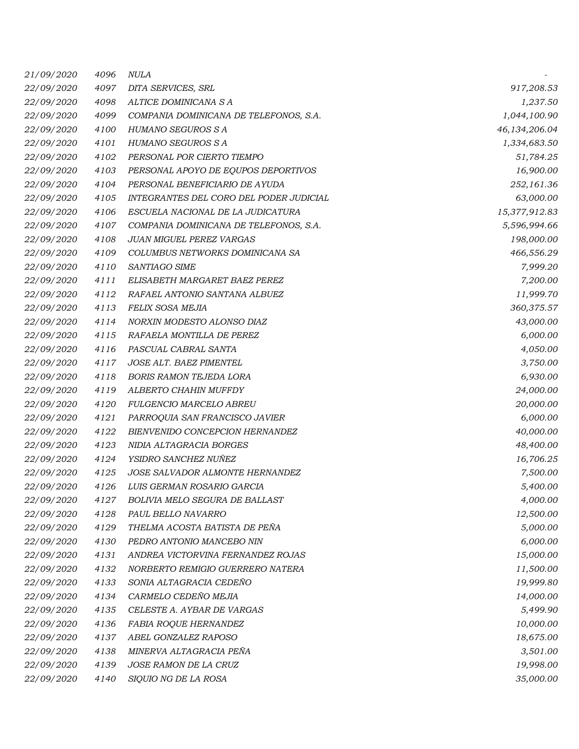| 21/09/2020        | 4096 | <i>NULA</i>                             |               |
|-------------------|------|-----------------------------------------|---------------|
| 22/09/2020        | 4097 | DITA SERVICES, SRL                      | 917,208.53    |
| 22/09/2020        | 4098 | ALTICE DOMINICANA S A                   | 1,237.50      |
| 22/09/2020        | 4099 | COMPANIA DOMINICANA DE TELEFONOS, S.A.  | 1,044,100.90  |
| 22/09/2020        | 4100 | HUMANO SEGUROS S A                      | 46,134,206.04 |
| 22/09/2020        | 4101 | HUMANO SEGUROS S A                      | 1,334,683.50  |
| 22/09/2020        | 4102 | PERSONAL POR CIERTO TIEMPO              | 51,784.25     |
| 22/09/2020        | 4103 | PERSONAL APOYO DE EQUPOS DEPORTIVOS     | 16,900.00     |
| 22/09/2020        | 4104 | PERSONAL BENEFICIARIO DE AYUDA          | 252,161.36    |
| 22/09/2020        | 4105 | INTEGRANTES DEL CORO DEL PODER JUDICIAL | 63,000.00     |
| <i>22/09/2020</i> | 4106 | ESCUELA NACIONAL DE LA JUDICATURA       | 15,377,912.83 |
| 22/09/2020        | 4107 | COMPANIA DOMINICANA DE TELEFONOS, S.A.  | 5,596,994.66  |
| <i>22/09/2020</i> | 4108 | <b>JUAN MIGUEL PEREZ VARGAS</b>         | 198,000.00    |
| 22/09/2020        | 4109 | COLUMBUS NETWORKS DOMINICANA SA         | 466,556.29    |
| 22/09/2020        | 4110 | <b>SANTIAGO SIME</b>                    | 7,999.20      |
| 22/09/2020        | 4111 | ELISABETH MARGARET BAEZ PEREZ           | 7,200.00      |
| 22/09/2020        | 4112 | RAFAEL ANTONIO SANTANA ALBUEZ           | 11,999.70     |
| 22/09/2020        | 4113 | FELIX SOSA MEJIA                        | 360,375.57    |
| 22/09/2020        | 4114 | NORXIN MODESTO ALONSO DIAZ              | 43,000.00     |
| <i>22/09/2020</i> | 4115 | RAFAELA MONTILLA DE PEREZ               | 6,000.00      |
| 22/09/2020        | 4116 | PASCUAL CABRAL SANTA                    | 4,050.00      |
| 22/09/2020        | 4117 | JOSE ALT. BAEZ PIMENTEL                 | 3,750.00      |
| 22/09/2020        | 4118 | <b>BORIS RAMON TEJEDA LORA</b>          | 6,930.00      |
| 22/09/2020        | 4119 | ALBERTO CHAHIN MUFFDY                   | 24,000.00     |
| 22/09/2020        | 4120 | FULGENCIO MARCELO ABREU                 | 20,000.00     |
| 22/09/2020        | 4121 | PARROQUIA SAN FRANCISCO JAVIER          | 6,000.00      |
| 22/09/2020        | 4122 | BIENVENIDO CONCEPCION HERNANDEZ         | 40,000.00     |
| 22/09/2020        | 4123 | NIDIA ALTAGRACIA BORGES                 | 48,400.00     |
| 22/09/2020        | 4124 | YSIDRO SANCHEZ NUÑEZ                    | 16,706.25     |
| 22/09/2020        | 4125 | JOSE SALVADOR ALMONTE HERNANDEZ         | 7,500.00      |
| 22/09/2020        | 4126 | LUIS GERMAN ROSARIO GARCIA              | 5,400.00      |
| <i>22/09/2020</i> | 4127 | BOLIVIA MELO SEGURA DE BALLAST          | 4,000.00      |
| 22/09/2020        | 4128 | PAUL BELLO NAVARRO                      | 12,500.00     |
| 22/09/2020        | 4129 | THELMA ACOSTA BATISTA DE PEÑA           | 5,000.00      |
| <i>22/09/2020</i> | 4130 | PEDRO ANTONIO MANCEBO NIN               | 6,000.00      |
| 22/09/2020        | 4131 | ANDREA VICTORVINA FERNANDEZ ROJAS       | 15,000.00     |
| 22/09/2020        | 4132 | NORBERTO REMIGIO GUERRERO NATERA        | 11,500.00     |
| 22/09/2020        | 4133 | SONIA ALTAGRACIA CEDEÑO                 | 19,999.80     |
| 22/09/2020        | 4134 | CARMELO CEDEÑO MEJIA                    | 14,000.00     |
| 22/09/2020        | 4135 | CELESTE A. AYBAR DE VARGAS              | 5,499.90      |
| 22/09/2020        | 4136 | FABIA ROQUE HERNANDEZ                   | 10,000.00     |
| 22/09/2020        | 4137 | ABEL GONZALEZ RAPOSO                    | 18,675.00     |
| 22/09/2020        | 4138 | MINERVA ALTAGRACIA PEÑA                 | 3,501.00      |
| 22/09/2020        | 4139 | JOSE RAMON DE LA CRUZ                   | 19,998.00     |
| 22/09/2020        | 4140 | SIQUIO NG DE LA ROSA                    | 35,000.00     |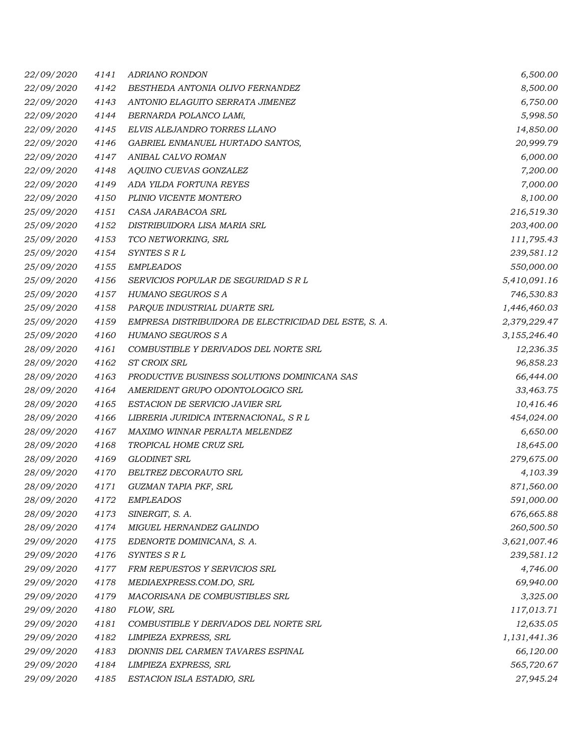| 22/09/2020 | 4141 | ADRIANO RONDON                                        | 6,500.00     |
|------------|------|-------------------------------------------------------|--------------|
| 22/09/2020 | 4142 | BESTHEDA ANTONIA OLIVO FERNANDEZ                      | 8,500.00     |
| 22/09/2020 | 4143 | ANTONIO ELAGUITO SERRATA JIMENEZ                      | 6,750.00     |
| 22/09/2020 | 4144 | BERNARDA POLANCO LAMí,                                | 5,998.50     |
| 22/09/2020 | 4145 | ELVIS ALEJANDRO TORRES LLANO                          | 14,850.00    |
| 22/09/2020 | 4146 | GABRIEL ENMANUEL HURTADO SANTOS,                      | 20,999.79    |
| 22/09/2020 | 4147 | ANIBAL CALVO ROMAN                                    | 6,000.00     |
| 22/09/2020 | 4148 | AQUINO CUEVAS GONZALEZ                                | 7,200.00     |
| 22/09/2020 | 4149 | ADA YILDA FORTUNA REYES                               | 7,000.00     |
| 22/09/2020 | 4150 | PLINIO VICENTE MONTERO                                | 8,100.00     |
| 25/09/2020 | 4151 | CASA JARABACOA SRL                                    | 216,519.30   |
| 25/09/2020 | 4152 | DISTRIBUIDORA LISA MARIA SRL                          | 203,400.00   |
| 25/09/2020 | 4153 | TCO NETWORKING, SRL                                   | 111,795.43   |
| 25/09/2020 | 4154 | SYNTES S R L                                          | 239,581.12   |
| 25/09/2020 | 4155 | <b>EMPLEADOS</b>                                      | 550,000.00   |
| 25/09/2020 | 4156 | SERVICIOS POPULAR DE SEGURIDAD S R L                  | 5,410,091.16 |
| 25/09/2020 | 4157 | HUMANO SEGUROS S A                                    | 746,530.83   |
| 25/09/2020 | 4158 | PARQUE INDUSTRIAL DUARTE SRL                          | 1,446,460.03 |
| 25/09/2020 | 4159 | EMPRESA DISTRIBUIDORA DE ELECTRICIDAD DEL ESTE, S. A. | 2,379,229.47 |
| 25/09/2020 | 4160 | HUMANO SEGUROS S A                                    | 3,155,246.40 |
| 28/09/2020 | 4161 | COMBUSTIBLE Y DERIVADOS DEL NORTE SRL                 | 12,236.35    |
| 28/09/2020 | 4162 | ST CROIX SRL                                          | 96,858.23    |
| 28/09/2020 | 4163 | PRODUCTIVE BUSINESS SOLUTIONS DOMINICANA SAS          | 66,444.00    |
| 28/09/2020 | 4164 | AMERIDENT GRUPO ODONTOLOGICO SRL                      | 33,463.75    |
| 28/09/2020 | 4165 | ESTACION DE SERVICIO JAVIER SRL                       | 10,416.46    |
| 28/09/2020 | 4166 | LIBRERIA JURIDICA INTERNACIONAL, S R L                | 454,024.00   |
| 28/09/2020 | 4167 | MAXIMO WINNAR PERALTA MELENDEZ                        | 6,650.00     |
| 28/09/2020 | 4168 | TROPICAL HOME CRUZ SRL                                | 18,645.00    |
| 28/09/2020 | 4169 | <b>GLODINET SRL</b>                                   | 279,675.00   |
| 28/09/2020 | 4170 | BELTREZ DECORAUTO SRL                                 | 4,103.39     |
| 28/09/2020 | 4171 | GUZMAN TAPIA PKF, SRL                                 | 871,560.00   |
| 28/09/2020 | 4172 | <b>EMPLEADOS</b>                                      | 591,000.00   |
| 28/09/2020 | 4173 | SINERGIT, S. A.                                       | 676,665.88   |
| 28/09/2020 | 4174 | MIGUEL HERNANDEZ GALINDO                              | 260,500.50   |
| 29/09/2020 | 4175 | EDENORTE DOMINICANA, S. A.                            | 3,621,007.46 |
| 29/09/2020 | 4176 | SYNTES SRL                                            | 239,581.12   |
| 29/09/2020 | 4177 | FRM REPUESTOS Y SERVICIOS SRL                         | 4,746.00     |
| 29/09/2020 | 4178 | MEDIAEXPRESS.COM.DO, SRL                              | 69,940.00    |
| 29/09/2020 | 4179 | MACORISANA DE COMBUSTIBLES SRL                        | 3,325.00     |
| 29/09/2020 | 4180 | FLOW, SRL                                             | 117,013.71   |
| 29/09/2020 | 4181 | COMBUSTIBLE Y DERIVADOS DEL NORTE SRL                 | 12,635.05    |
| 29/09/2020 | 4182 | LIMPIEZA EXPRESS, SRL                                 | 1,131,441.36 |
| 29/09/2020 | 4183 | DIONNIS DEL CARMEN TAVARES ESPINAL                    | 66,120.00    |
| 29/09/2020 | 4184 | LIMPIEZA EXPRESS, SRL                                 | 565,720.67   |
| 29/09/2020 | 4185 | ESTACION ISLA ESTADIO, SRL                            | 27,945.24    |